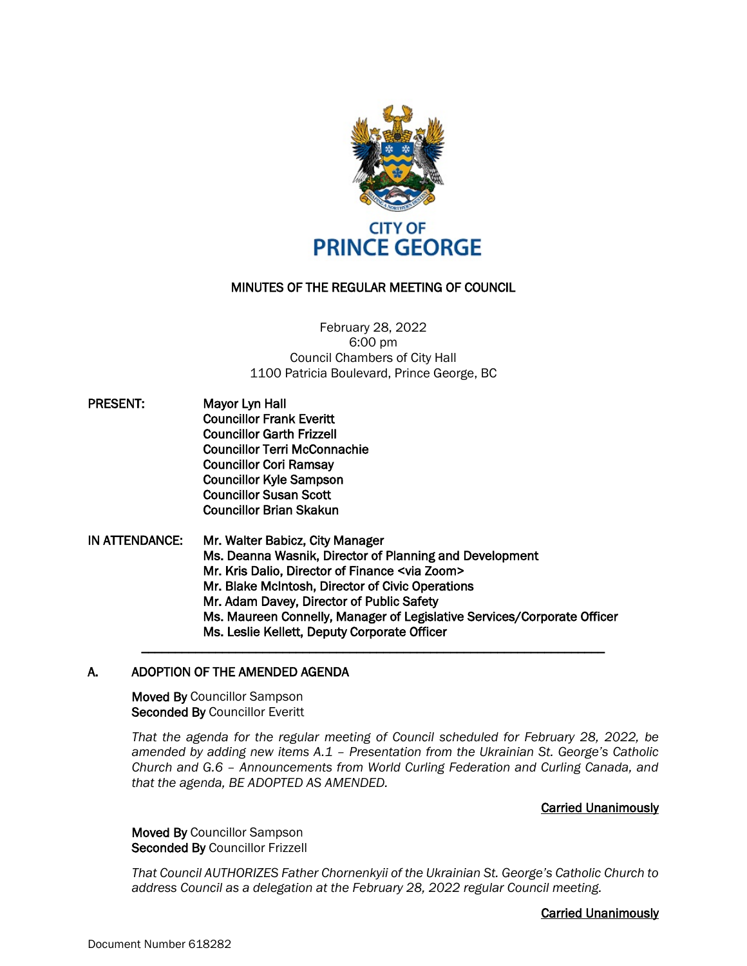

# MINUTES OF THE REGULAR MEETING OF COUNCIL

February 28, 2022 6:00 pm Council Chambers of City Hall 1100 Patricia Boulevard, Prince George, BC

- PRESENT: Mayor Lyn Hall Councillor Frank Everitt Councillor Garth Frizzell Councillor Terri McConnachie Councillor Cori Ramsay Councillor Kyle Sampson Councillor Susan Scott Councillor Brian Skakun
- IN ATTENDANCE: Mr. Walter Babicz, City Manager Ms. Deanna Wasnik, Director of Planning and Development Mr. Kris Dalio, Director of Finance <via Zoom> Mr. Blake McIntosh, Director of Civic Operations Mr. Adam Davey, Director of Public Safety Ms. Maureen Connelly, Manager of Legislative Services/Corporate Officer Ms. Leslie Kellett, Deputy Corporate Officer

\_\_\_\_\_\_\_\_\_\_\_\_\_\_\_\_\_\_\_\_\_\_\_\_\_\_\_\_\_\_\_\_\_\_\_\_\_\_\_\_\_\_\_\_\_\_\_\_\_\_\_\_\_\_\_\_\_\_\_\_\_\_\_\_\_\_\_\_\_

# A. ADOPTION OF THE AMENDED AGENDA

Moved By Councillor Sampson Seconded By Councillor Everitt

*That the agenda for the regular meeting of Council scheduled for February 28, 2022, be amended by adding new items A.1 – Presentation from the Ukrainian St. George's Catholic Church and G.6 – Announcements from World Curling Federation and Curling Canada, and that the agenda, BE ADOPTED AS AMENDED.*

# Carried Unanimously

Moved By Councillor Sampson Seconded By Councillor Frizzell

*That Council AUTHORIZES Father Chornenkyii of the Ukrainian St. George's Catholic Church to address Council as a delegation at the February 28, 2022 regular Council meeting.*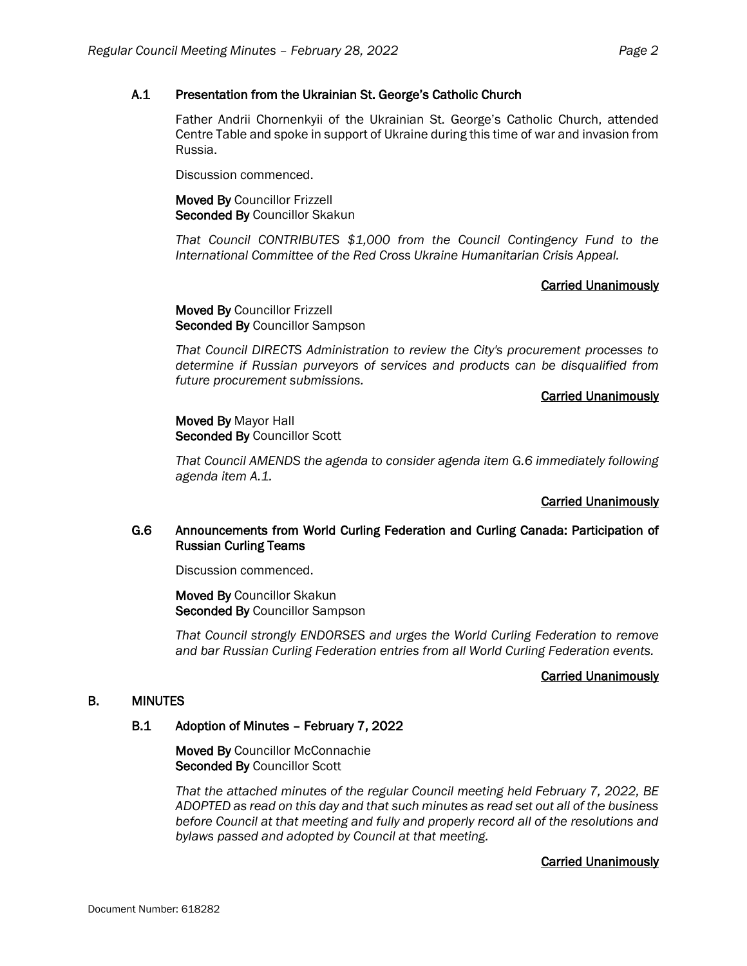## A.1 Presentation from the Ukrainian St. George's Catholic Church

Father Andrii Chornenkyii of the Ukrainian St. George's Catholic Church, attended Centre Table and spoke in support of Ukraine during this time of war and invasion from Russia.

Discussion commenced.

Moved By Councillor Frizzell Seconded By Councillor Skakun

*That Council CONTRIBUTES \$1,000 from the Council Contingency Fund to the International Committee of the Red Cross Ukraine Humanitarian Crisis Appeal.*

### Carried Unanimously

Moved By Councillor Frizzell Seconded By Councillor Sampson

*That Council DIRECTS Administration to review the City's procurement processes to determine if Russian purveyors of services and products can be disqualified from future procurement submissions.*

### Carried Unanimously

Moved By Mayor Hall Seconded By Councillor Scott

*That Council AMENDS the agenda to consider agenda item G.6 immediately following agenda item A.1.*

# Carried Unanimously

# G.6 Announcements from World Curling Federation and Curling Canada: Participation of Russian Curling Teams

Discussion commenced.

Moved By Councillor Skakun Seconded By Councillor Sampson

*That Council strongly ENDORSES and urges the World Curling Federation to remove and bar Russian Curling Federation entries from all World Curling Federation events.*

### Carried Unanimously

# B. MINUTES

### B.1 Adoption of Minutes – February 7, 2022

Moved By Councillor McConnachie Seconded By Councillor Scott

*That the attached minutes of the regular Council meeting held February 7, 2022, BE ADOPTED as read on this day and that such minutes as read set out all of the business before Council at that meeting and fully and properly record all of the resolutions and bylaws passed and adopted by Council at that meeting.*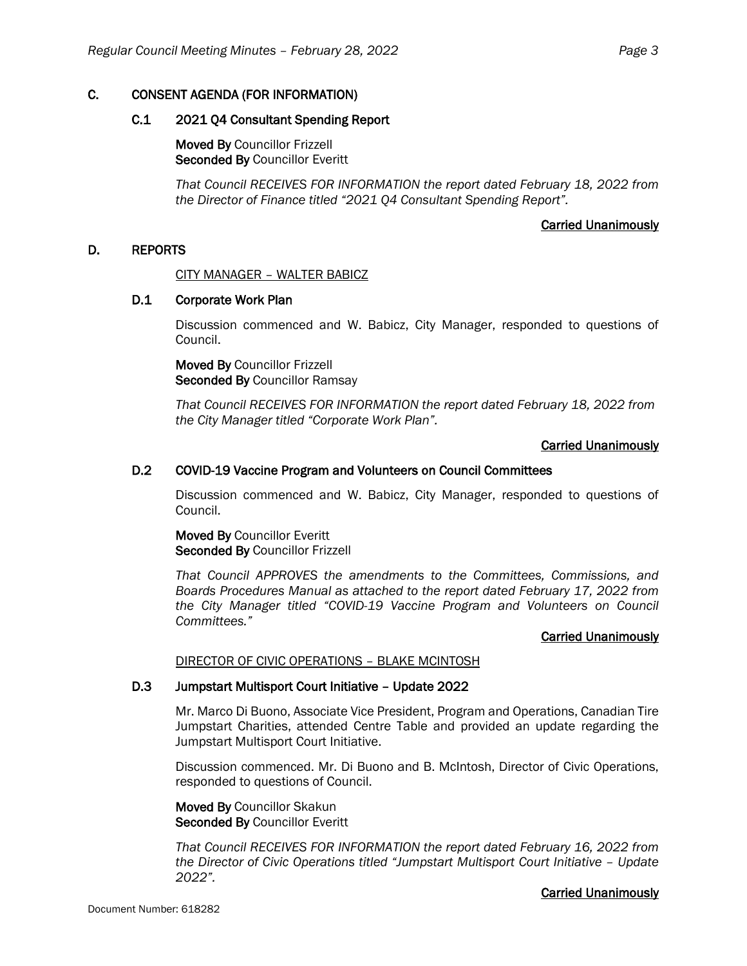# C. CONSENT AGENDA (FOR INFORMATION)

## C.1 2021 Q4 Consultant Spending Report

Moved By Councillor Frizzell Seconded By Councillor Everitt

*That Council RECEIVES FOR INFORMATION the report dated February 18, 2022 from the Director of Finance titled "2021 Q4 Consultant Spending Report".*

### Carried Unanimously

# D. REPORTS

CITY MANAGER – WALTER BABICZ

### D.1 Corporate Work Plan

Discussion commenced and W. Babicz, City Manager, responded to questions of Council.

Moved By Councillor Frizzell Seconded By Councillor Ramsay

*That Council RECEIVES FOR INFORMATION the report dated February 18, 2022 from the City Manager titled "Corporate Work Plan".*

# Carried Unanimously

# D.2 COVID-19 Vaccine Program and Volunteers on Council Committees

Discussion commenced and W. Babicz, City Manager, responded to questions of Council.

Moved By Councillor Everitt Seconded By Councillor Frizzell

*That Council APPROVES the amendments to the Committees, Commissions, and Boards Procedures Manual as attached to the report dated February 17, 2022 from the City Manager titled "COVID-19 Vaccine Program and Volunteers on Council Committees."*

### Carried Unanimously

# DIRECTOR OF CIVIC OPERATIONS – BLAKE MCINTOSH

### D.3 Jumpstart Multisport Court Initiative – Update 2022

Mr. Marco Di Buono, Associate Vice President, Program and Operations, Canadian Tire Jumpstart Charities, attended Centre Table and provided an update regarding the Jumpstart Multisport Court Initiative.

Discussion commenced. Mr. Di Buono and B. McIntosh, Director of Civic Operations, responded to questions of Council.

Moved By Councillor Skakun Seconded By Councillor Everitt

*That Council RECEIVES FOR INFORMATION the report dated February 16, 2022 from the Director of Civic Operations titled "Jumpstart Multisport Court Initiative – Update 2022".*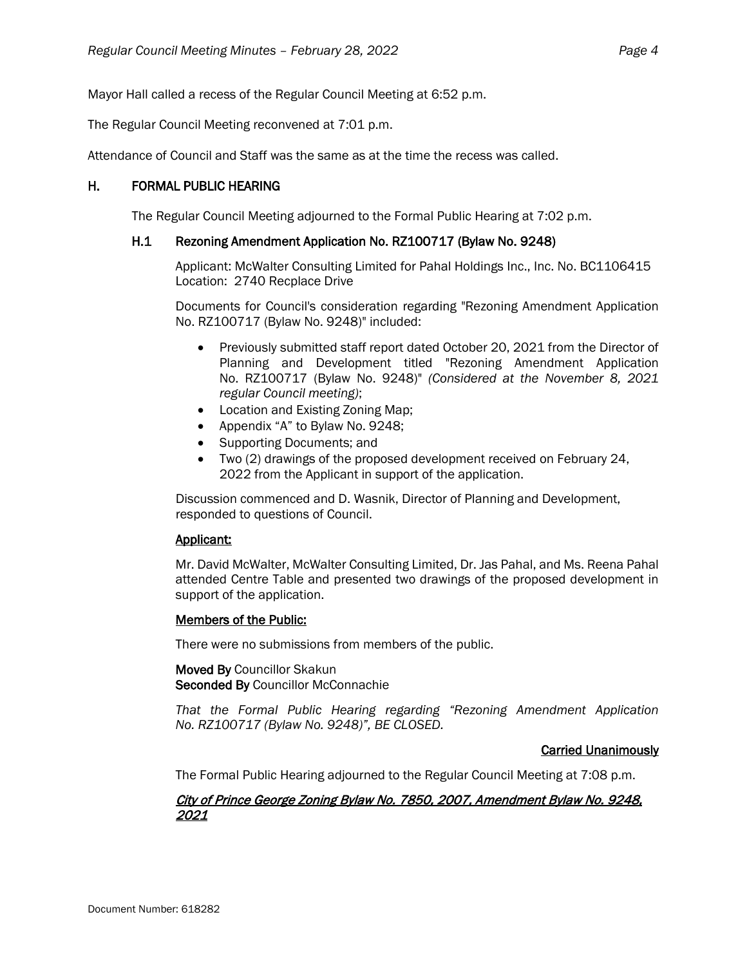Mayor Hall called a recess of the Regular Council Meeting at 6:52 p.m.

The Regular Council Meeting reconvened at 7:01 p.m.

Attendance of Council and Staff was the same as at the time the recess was called.

# H. FORMAL PUBLIC HEARING

The Regular Council Meeting adjourned to the Formal Public Hearing at 7:02 p.m.

# H.1 Rezoning Amendment Application No. RZ100717 (Bylaw No. 9248)

Applicant: McWalter Consulting Limited for Pahal Holdings Inc., Inc. No. BC1106415 Location: 2740 Recplace Drive

Documents for Council's consideration regarding "Rezoning Amendment Application No. RZ100717 (Bylaw No. 9248)" included:

- Previously submitted staff report dated October 20, 2021 from the Director of Planning and Development titled "Rezoning Amendment Application No. RZ100717 (Bylaw No. 9248)" *(Considered at the November 8, 2021 regular Council meeting)*;
- Location and Existing Zoning Map;
- Appendix "A" to Bylaw No. 9248;
- Supporting Documents; and
- Two (2) drawings of the proposed development received on February 24, 2022 from the Applicant in support of the application.

Discussion commenced and D. Wasnik, Director of Planning and Development, responded to questions of Council.

# Applicant:

Mr. David McWalter, McWalter Consulting Limited, Dr. Jas Pahal, and Ms. Reena Pahal attended Centre Table and presented two drawings of the proposed development in support of the application.

# Members of the Public:

There were no submissions from members of the public.

### Moved By Councillor Skakun Seconded By Councillor McConnachie

*That the Formal Public Hearing regarding "Rezoning Amendment Application No. RZ100717 (Bylaw No. 9248)", BE CLOSED.*

# Carried Unanimously

The Formal Public Hearing adjourned to the Regular Council Meeting at 7:08 p.m.

# City of Prince George Zoning Bylaw No. 7850, 2007, Amendment Bylaw No. 9248, 2021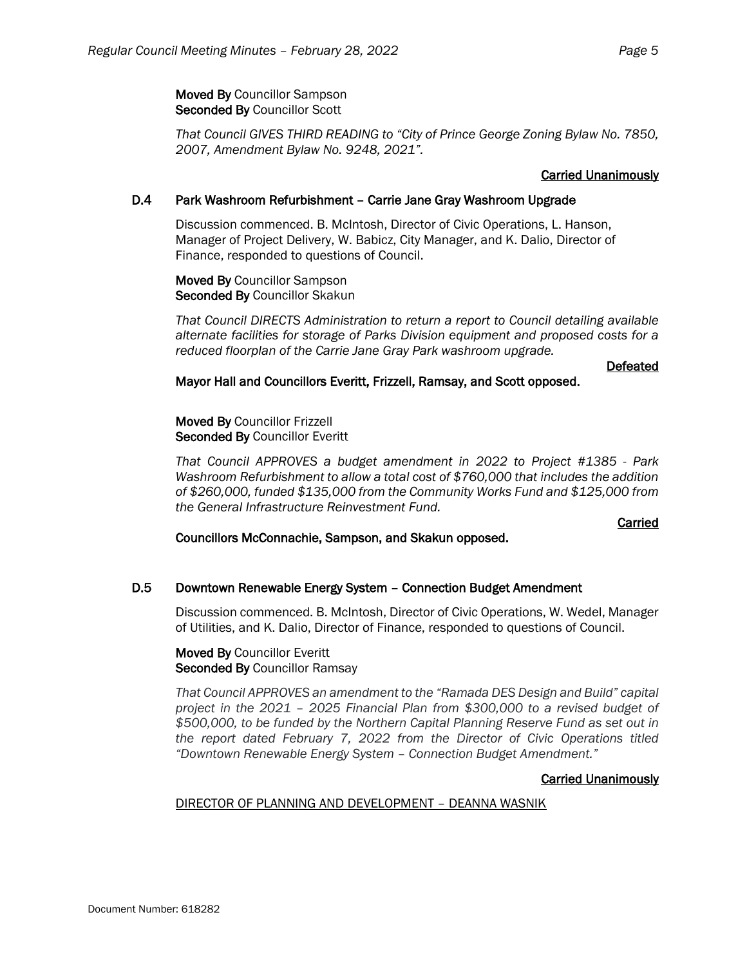Moved By Councillor Sampson Seconded By Councillor Scott

*That Council GIVES THIRD READING to "City of Prince George Zoning Bylaw No. 7850, 2007, Amendment Bylaw No. 9248, 2021".*

# Carried Unanimously

# D.4 Park Washroom Refurbishment – Carrie Jane Gray Washroom Upgrade

Discussion commenced. B. McIntosh, Director of Civic Operations, L. Hanson, Manager of Project Delivery, W. Babicz, City Manager, and K. Dalio, Director of Finance, responded to questions of Council.

Moved By Councillor Sampson Seconded By Councillor Skakun

*That Council DIRECTS Administration to return a report to Council detailing available alternate facilities for storage of Parks Division equipment and proposed costs for a reduced floorplan of the Carrie Jane Gray Park washroom upgrade.*

# Defeated

# Mayor Hall and Councillors Everitt, Frizzell, Ramsay, and Scott opposed.

Moved By Councillor Frizzell Seconded By Councillor Everitt

*That Council APPROVES a budget amendment in 2022 to Project #1385 - Park Washroom Refurbishment to allow a total cost of \$760,000 that includes the addition of \$260,000, funded \$135,000 from the Community Works Fund and \$125,000 from the General Infrastructure Reinvestment Fund.*

# Carried

# Councillors McConnachie, Sampson, and Skakun opposed.

# D.5 Downtown Renewable Energy System – Connection Budget Amendment

Discussion commenced. B. McIntosh, Director of Civic Operations, W. Wedel, Manager of Utilities, and K. Dalio, Director of Finance, responded to questions of Council.

### Moved By Councillor Everitt Seconded By Councillor Ramsay

*That Council APPROVES an amendment to the "Ramada DES Design and Build" capital project in the 2021 – 2025 Financial Plan from \$300,000 to a revised budget of \$500,000, to be funded by the Northern Capital Planning Reserve Fund as set out in the report dated February 7, 2022 from the Director of Civic Operations titled "Downtown Renewable Energy System – Connection Budget Amendment."*

# Carried Unanimously

# DIRECTOR OF PLANNING AND DEVELOPMENT – DEANNA WASNIK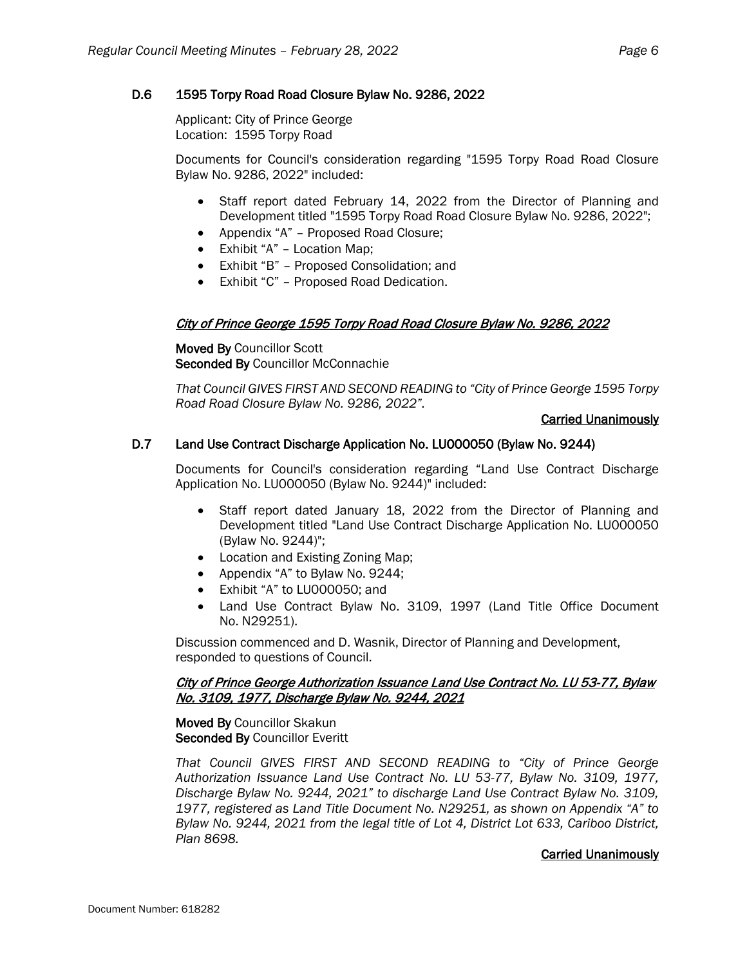# D.6 1595 Torpy Road Road Closure Bylaw No. 9286, 2022

Applicant: City of Prince George Location: 1595 Torpy Road

Documents for Council's consideration regarding "1595 Torpy Road Road Closure Bylaw No. 9286, 2022" included:

- Staff report dated February 14, 2022 from the Director of Planning and Development titled "1595 Torpy Road Road Closure Bylaw No. 9286, 2022";
- Appendix "A" Proposed Road Closure;
- Exhibit "A" Location Map;
- Exhibit "B" Proposed Consolidation; and
- Exhibit "C" Proposed Road Dedication.

# City of Prince George 1595 Torpy Road Road Closure Bylaw No. 9286, 2022

Moved By Councillor Scott Seconded By Councillor McConnachie

*That Council GIVES FIRST AND SECOND READING to "City of Prince George 1595 Torpy Road Road Closure Bylaw No. 9286, 2022".*

# Carried Unanimously

# D.7 Land Use Contract Discharge Application No. LU000050 (Bylaw No. 9244)

Documents for Council's consideration regarding "Land Use Contract Discharge Application No. LU000050 (Bylaw No. 9244)" included:

- Staff report dated January 18, 2022 from the Director of Planning and Development titled "Land Use Contract Discharge Application No. LU000050 (Bylaw No. 9244)";
- Location and Existing Zoning Map;
- Appendix "A" to Bylaw No. 9244;
- Exhibit "A" to LU000050; and
- Land Use Contract Bylaw No. 3109, 1997 (Land Title Office Document No. N29251).

Discussion commenced and D. Wasnik, Director of Planning and Development, responded to questions of Council.

# City of Prince George Authorization Issuance Land Use Contract No. LU 53-77, Bylaw No. 3109, 1977, Discharge Bylaw No. 9244, 2021

Moved By Councillor Skakun Seconded By Councillor Everitt

*That Council GIVES FIRST AND SECOND READING to "City of Prince George Authorization Issuance Land Use Contract No. LU 53-77, Bylaw No. 3109, 1977, Discharge Bylaw No. 9244, 2021" to discharge Land Use Contract Bylaw No. 3109, 1977, registered as Land Title Document No. N29251, as shown on Appendix "A" to Bylaw No. 9244, 2021 from the legal title of Lot 4, District Lot 633, Cariboo District, Plan 8698.*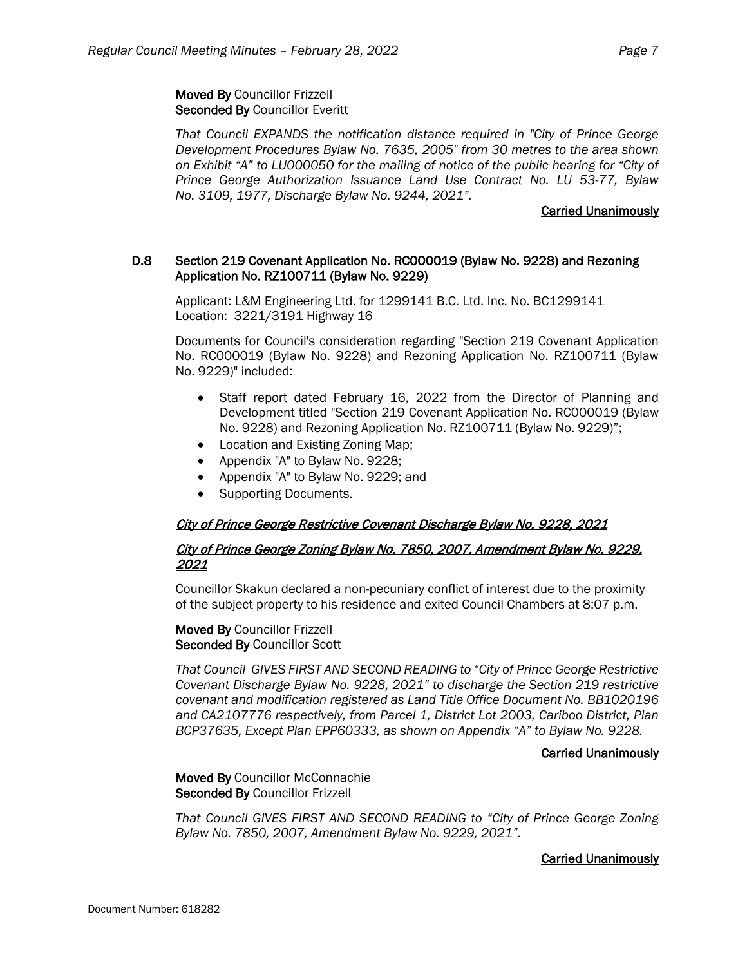Moved By Councillor Frizzell Seconded By Councillor Everitt

*That Council EXPANDS the notification distance required in "City of Prince George Development Procedures Bylaw No. 7635, 2005" from 30 metres to the area shown on Exhibit "A" to LU000050 for the mailing of notice of the public hearing for "City of Prince George Authorization Issuance Land Use Contract No. LU 53-77, Bylaw No. 3109, 1977, Discharge Bylaw No. 9244, 2021".*

## Carried Unanimously

# D.8 Section 219 Covenant Application No. RC000019 (Bylaw No. 9228) and Rezoning Application No. RZ100711 (Bylaw No. 9229)

Applicant: L&M Engineering Ltd. for 1299141 B.C. Ltd. Inc. No. BC1299141 Location: 3221/3191 Highway 16

Documents for Council's consideration regarding "Section 219 Covenant Application No. RC000019 (Bylaw No. 9228) and Rezoning Application No. RZ100711 (Bylaw No. 9229)" included:

- Staff report dated February 16, 2022 from the Director of Planning and Development titled "Section 219 Covenant Application No. RC000019 (Bylaw No. 9228) and Rezoning Application No. RZ100711 (Bylaw No. 9229)";
- Location and Existing Zoning Map;
- Appendix "A" to Bylaw No. 9228;
- Appendix "A" to Bylaw No. 9229; and
- Supporting Documents.

# City of Prince George Restrictive Covenant Discharge Bylaw No. 9228, 2021

# City of Prince George Zoning Bylaw No. 7850, 2007, Amendment Bylaw No. 9229, <sup>2021</sup>

Councillor Skakun declared a non-pecuniary conflict of interest due to the proximity of the subject property to his residence and exited Council Chambers at 8:07 p.m.

### Moved By Councillor Frizzell Seconded By Councillor Scott

*That Council GIVES FIRST AND SECOND READING to "City of Prince George Restrictive Covenant Discharge Bylaw No. 9228, 2021" to discharge the Section 219 restrictive covenant and modification registered as Land Title Office Document No. BB1020196 and CA2107776 respectively, from Parcel 1, District Lot 2003, Cariboo District, Plan BCP37635, Except Plan EPP60333, as shown on Appendix "A" to Bylaw No. 9228.*

### Carried Unanimously

Moved By Councillor McConnachie Seconded By Councillor Frizzell

*That Council GIVES FIRST AND SECOND READING to "City of Prince George Zoning Bylaw No. 7850, 2007, Amendment Bylaw No. 9229, 2021".*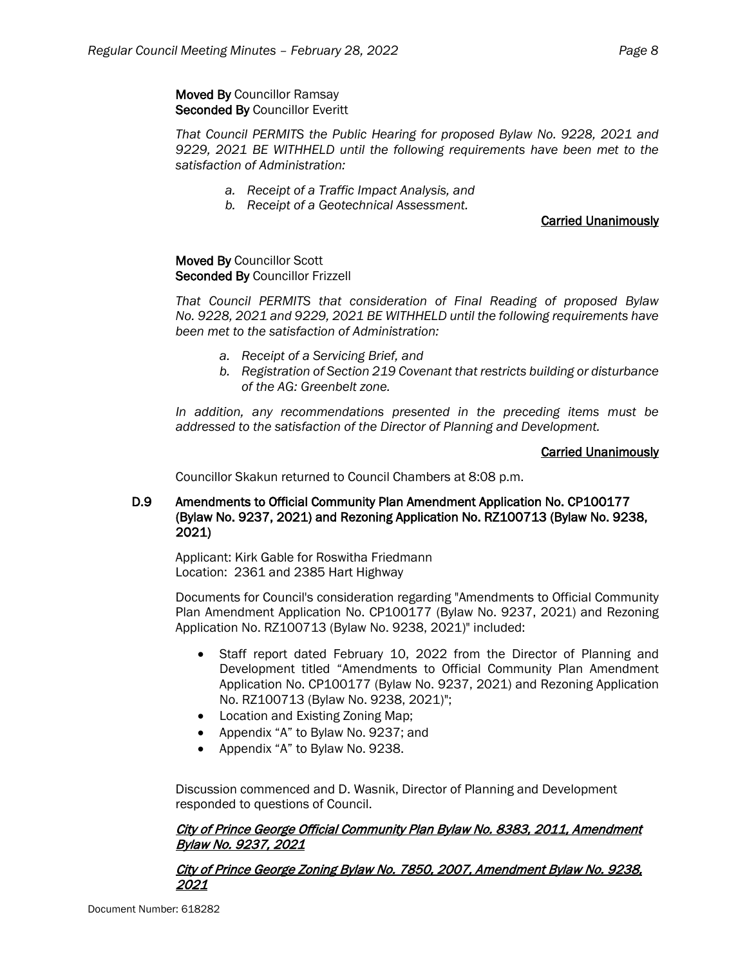# Moved By Councillor Ramsay Seconded By Councillor Everitt

*That Council PERMITS the Public Hearing for proposed Bylaw No. 9228, 2021 and 9229, 2021 BE WITHHELD until the following requirements have been met to the satisfaction of Administration:*

- *a. Receipt of a Traffic Impact Analysis, and*
- *b. Receipt of a Geotechnical Assessment.*

# Carried Unanimously

Moved By Councillor Scott Seconded By Councillor Frizzell

*That Council PERMITS that consideration of Final Reading of proposed Bylaw No. 9228, 2021 and 9229, 2021 BE WITHHELD until the following requirements have been met to the satisfaction of Administration:*

- *a. Receipt of a Servicing Brief, and*
- *b. Registration of Section 219 Covenant that restricts building or disturbance of the AG: Greenbelt zone.*

*In addition, any recommendations presented in the preceding items must be addressed to the satisfaction of the Director of Planning and Development.*

### Carried Unanimously

Councillor Skakun returned to Council Chambers at 8:08 p.m.

# D.9 Amendments to Official Community Plan Amendment Application No. CP100177 (Bylaw No. 9237, 2021) and Rezoning Application No. RZ100713 (Bylaw No. 9238, 2021)

Applicant: Kirk Gable for Roswitha Friedmann Location: 2361 and 2385 Hart Highway

Documents for Council's consideration regarding "Amendments to Official Community Plan Amendment Application No. CP100177 (Bylaw No. 9237, 2021) and Rezoning Application No. RZ100713 (Bylaw No. 9238, 2021)" included:

- Staff report dated February 10, 2022 from the Director of Planning and Development titled "Amendments to Official Community Plan Amendment Application No. CP100177 (Bylaw No. 9237, 2021) and Rezoning Application No. RZ100713 (Bylaw No. 9238, 2021)";
- Location and Existing Zoning Map;
- Appendix "A" to Bylaw No. 9237; and
- Appendix "A" to Bylaw No. 9238.

Discussion commenced and D. Wasnik, Director of Planning and Development responded to questions of Council.

# City of Prince George Official Community Plan Bylaw No. 8383, 2011, Amendment Bylaw No. 9237, 2021

# City of Prince George Zoning Bylaw No. 7850, 2007, Amendment Bylaw No. 9238, 2021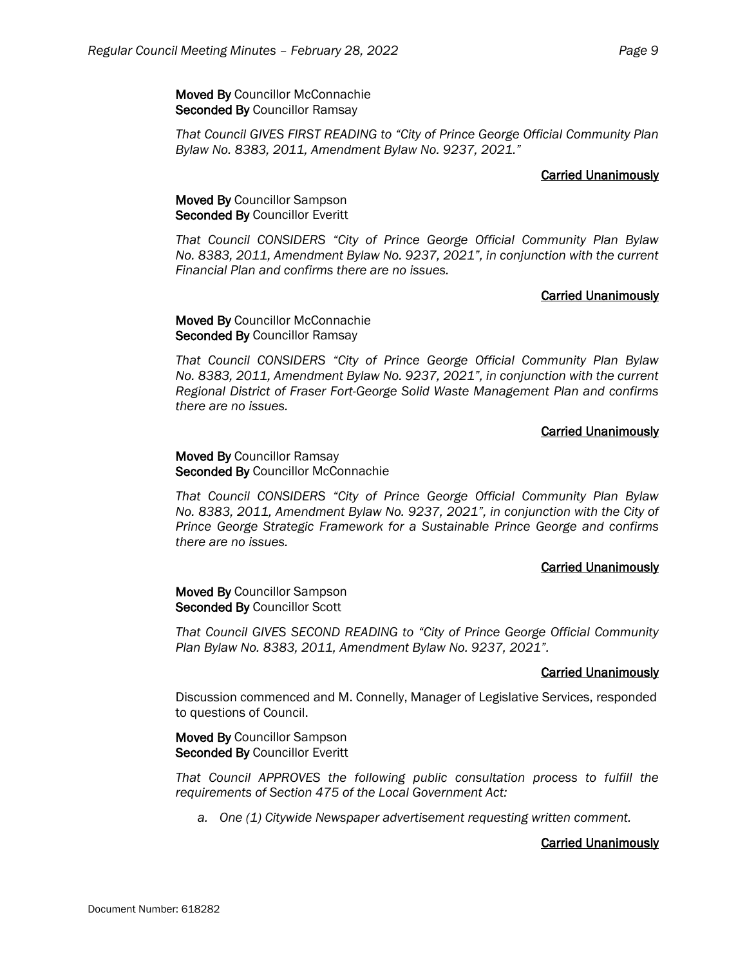Moved By Councillor McConnachie Seconded By Councillor Ramsay

*That Council GIVES FIRST READING to "City of Prince George Official Community Plan Bylaw No. 8383, 2011, Amendment Bylaw No. 9237, 2021."*

# Carried Unanimously

# Moved By Councillor Sampson Seconded By Councillor Everitt

*That Council CONSIDERS "City of Prince George Official Community Plan Bylaw No. 8383, 2011, Amendment Bylaw No. 9237, 2021", in conjunction with the current Financial Plan and confirms there are no issues.*

# Carried Unanimously

Moved By Councillor McConnachie Seconded By Councillor Ramsay

*That Council CONSIDERS "City of Prince George Official Community Plan Bylaw No. 8383, 2011, Amendment Bylaw No. 9237, 2021", in conjunction with the current Regional District of Fraser Fort-George Solid Waste Management Plan and confirms there are no issues.*

### Carried Unanimously

## Moved By Councillor Ramsay Seconded By Councillor McConnachie

*That Council CONSIDERS "City of Prince George Official Community Plan Bylaw No. 8383, 2011, Amendment Bylaw No. 9237, 2021", in conjunction with the City of Prince George Strategic Framework for a Sustainable Prince George and confirms there are no issues.*

### Carried Unanimously

### Moved By Councillor Sampson Seconded By Councillor Scott

*That Council GIVES SECOND READING to "City of Prince George Official Community Plan Bylaw No. 8383, 2011, Amendment Bylaw No. 9237, 2021".*

### Carried Unanimously

Discussion commenced and M. Connelly, Manager of Legislative Services, responded to questions of Council.

### Moved By Councillor Sampson Seconded By Councillor Everitt

*That Council APPROVES the following public consultation process to fulfill the requirements of Section 475 of the Local Government Act:*

*a. One (1) Citywide Newspaper advertisement requesting written comment.*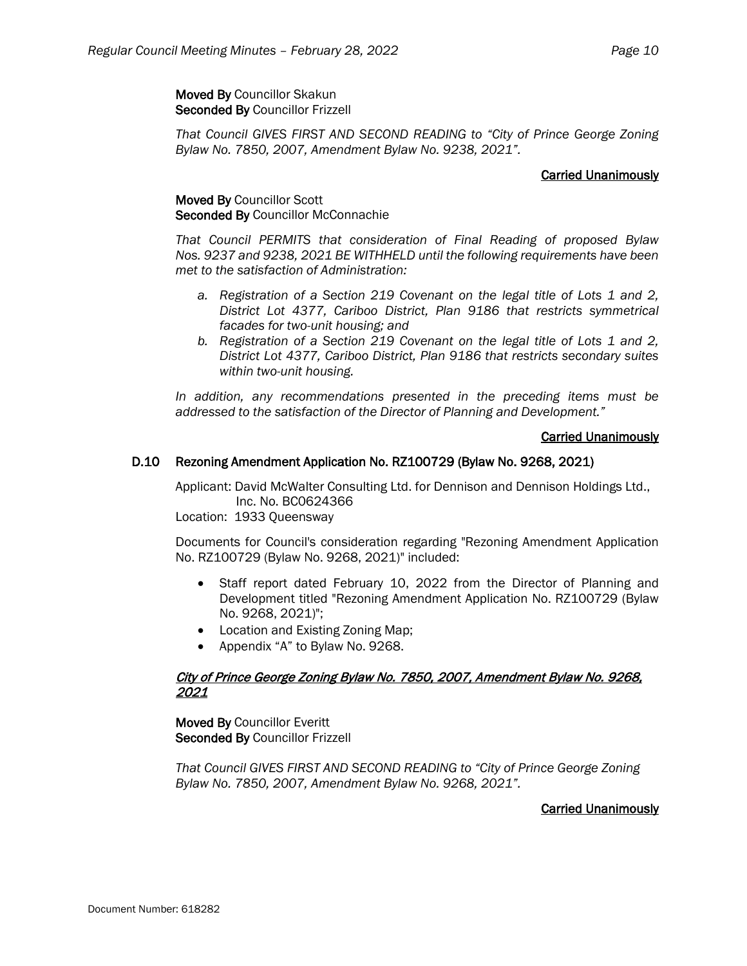*That Council GIVES FIRST AND SECOND READING to "City of Prince George Zoning Bylaw No. 7850, 2007, Amendment Bylaw No. 9238, 2021".*

# Carried Unanimously

# Moved By Councillor Scott Seconded By Councillor McConnachie

*That Council PERMITS that consideration of Final Reading of proposed Bylaw Nos. 9237 and 9238, 2021 BE WITHHELD until the following requirements have been met to the satisfaction of Administration:*

- *a. Registration of a Section 219 Covenant on the legal title of Lots 1 and 2, District Lot 4377, Cariboo District, Plan 9186 that restricts symmetrical facades for two-unit housing; and*
- *b. Registration of a Section 219 Covenant on the legal title of Lots 1 and 2, District Lot 4377, Cariboo District, Plan 9186 that restricts secondary suites within two-unit housing.*

*In addition, any recommendations presented in the preceding items must be addressed to the satisfaction of the Director of Planning and Development."*

# Carried Unanimously

# D.10 Rezoning Amendment Application No. RZ100729 (Bylaw No. 9268, 2021)

Applicant: David McWalter Consulting Ltd. for Dennison and Dennison Holdings Ltd., Inc. No. BC0624366

Location: 1933 Queensway

Documents for Council's consideration regarding "Rezoning Amendment Application No. RZ100729 (Bylaw No. 9268, 2021)" included:

- Staff report dated February 10, 2022 from the Director of Planning and Development titled "Rezoning Amendment Application No. RZ100729 (Bylaw No. 9268, 2021)";
- Location and Existing Zoning Map;
- Appendix "A" to Bylaw No. 9268.

# City of Prince George Zoning Bylaw No. 7850, 2007, Amendment Bylaw No. 9268, 2021

Moved By Councillor Everitt Seconded By Councillor Frizzell

*That Council GIVES FIRST AND SECOND READING to "City of Prince George Zoning Bylaw No. 7850, 2007, Amendment Bylaw No. 9268, 2021".*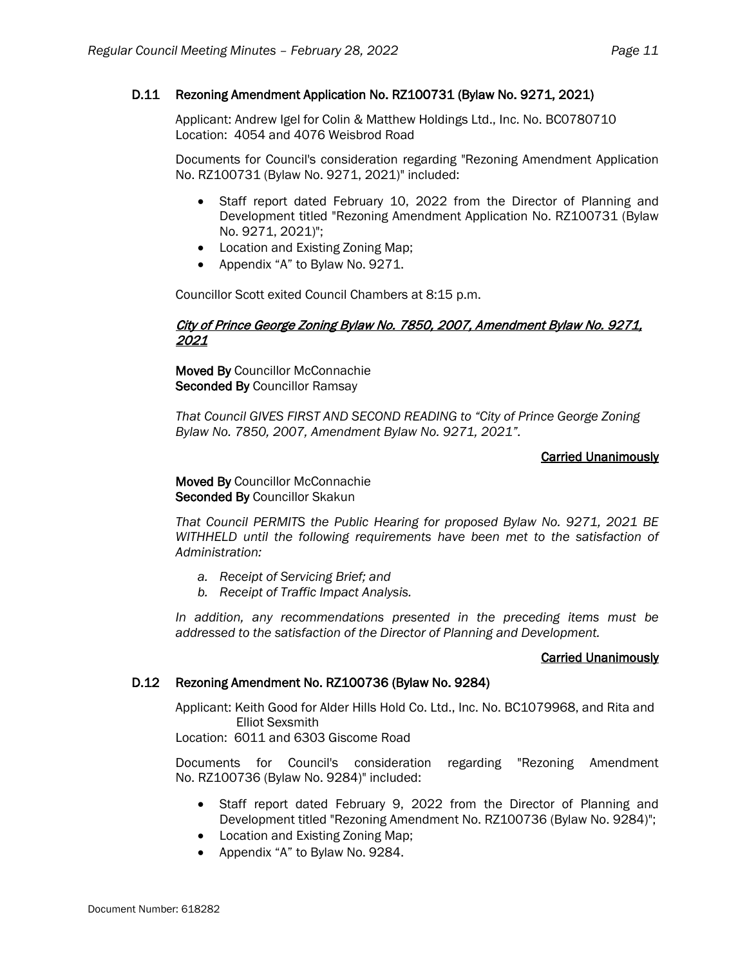## D.11 Rezoning Amendment Application No. RZ100731 (Bylaw No. 9271, 2021)

Applicant: Andrew Igel for Colin & Matthew Holdings Ltd., Inc. No. BC0780710 Location: 4054 and 4076 Weisbrod Road

Documents for Council's consideration regarding "Rezoning Amendment Application No. RZ100731 (Bylaw No. 9271, 2021)" included:

- Staff report dated February 10, 2022 from the Director of Planning and Development titled "Rezoning Amendment Application No. RZ100731 (Bylaw No. 9271, 2021)";
- Location and Existing Zoning Map;
- Appendix "A" to Bylaw No. 9271.

Councillor Scott exited Council Chambers at 8:15 p.m.

### City of Prince George Zoning Bylaw No. 7850, 2007, Amendment Bylaw No. 9271, 2021

Moved By Councillor McConnachie Seconded By Councillor Ramsay

*That Council GIVES FIRST AND SECOND READING to "City of Prince George Zoning Bylaw No. 7850, 2007, Amendment Bylaw No. 9271, 2021".*

### Carried Unanimously

Moved By Councillor McConnachie Seconded By Councillor Skakun

*That Council PERMITS the Public Hearing for proposed Bylaw No. 9271, 2021 BE WITHHELD until the following requirements have been met to the satisfaction of Administration:*

- *a. Receipt of Servicing Brief; and*
- *b. Receipt of Traffic Impact Analysis.*

*In addition, any recommendations presented in the preceding items must be addressed to the satisfaction of the Director of Planning and Development.*

### Carried Unanimously

### D.12 Rezoning Amendment No. RZ100736 (Bylaw No. 9284)

Applicant: Keith Good for Alder Hills Hold Co. Ltd., Inc. No. BC1079968, and Rita and Elliot Sexsmith

Location: 6011 and 6303 Giscome Road

Documents for Council's consideration regarding "Rezoning Amendment No. RZ100736 (Bylaw No. 9284)" included:

- Staff report dated February 9, 2022 from the Director of Planning and Development titled "Rezoning Amendment No. RZ100736 (Bylaw No. 9284)";
- Location and Existing Zoning Map;
- Appendix "A" to Bylaw No. 9284.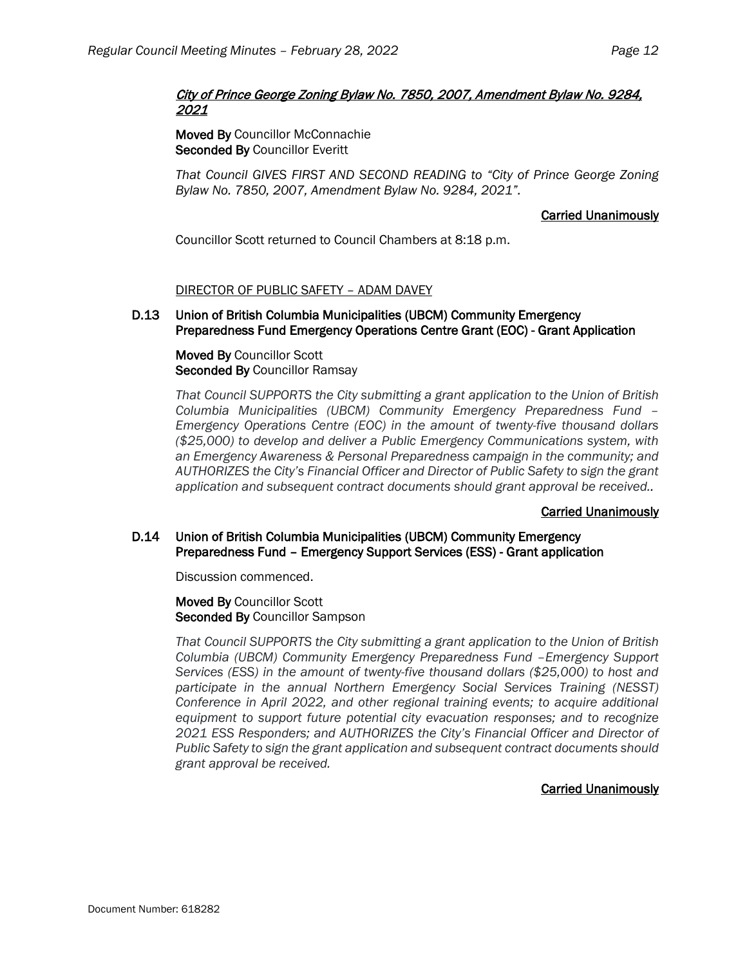# City of Prince George Zoning Bylaw No. 7850, 2007, Amendment Bylaw No. 9284, 2021

Moved By Councillor McConnachie Seconded By Councillor Everitt

*That Council GIVES FIRST AND SECOND READING to "City of Prince George Zoning Bylaw No. 7850, 2007, Amendment Bylaw No. 9284, 2021".*

# Carried Unanimously

Councillor Scott returned to Council Chambers at 8:18 p.m.

# DIRECTOR OF PUBLIC SAFETY – ADAM DAVEY

# D.13 Union of British Columbia Municipalities (UBCM) Community Emergency Preparedness Fund Emergency Operations Centre Grant (EOC) - Grant Application

Moved By Councillor Scott Seconded By Councillor Ramsay

*That Council SUPPORTS the City submitting a grant application to the Union of British Columbia Municipalities (UBCM) Community Emergency Preparedness Fund – Emergency Operations Centre (EOC) in the amount of twenty-five thousand dollars (\$25,000) to develop and deliver a Public Emergency Communications system, with an Emergency Awareness & Personal Preparedness campaign in the community; and AUTHORIZES the City's Financial Officer and Director of Public Safety to sign the grant application and subsequent contract documents should grant approval be received..*

# Carried Unanimously

# D.14 Union of British Columbia Municipalities (UBCM) Community Emergency Preparedness Fund – Emergency Support Services (ESS) - Grant application

Discussion commenced.

Moved By Councillor Scott Seconded By Councillor Sampson

*That Council SUPPORTS the City submitting a grant application to the Union of British Columbia (UBCM) Community Emergency Preparedness Fund –Emergency Support Services (ESS) in the amount of twenty-five thousand dollars (\$25,000) to host and participate in the annual Northern Emergency Social Services Training (NESST) Conference in April 2022, and other regional training events; to acquire additional equipment to support future potential city evacuation responses; and to recognize*  2021 ESS Responders; and AUTHORIZES the City's Financial Officer and Director of *Public Safety to sign the grant application and subsequent contract documents should grant approval be received.*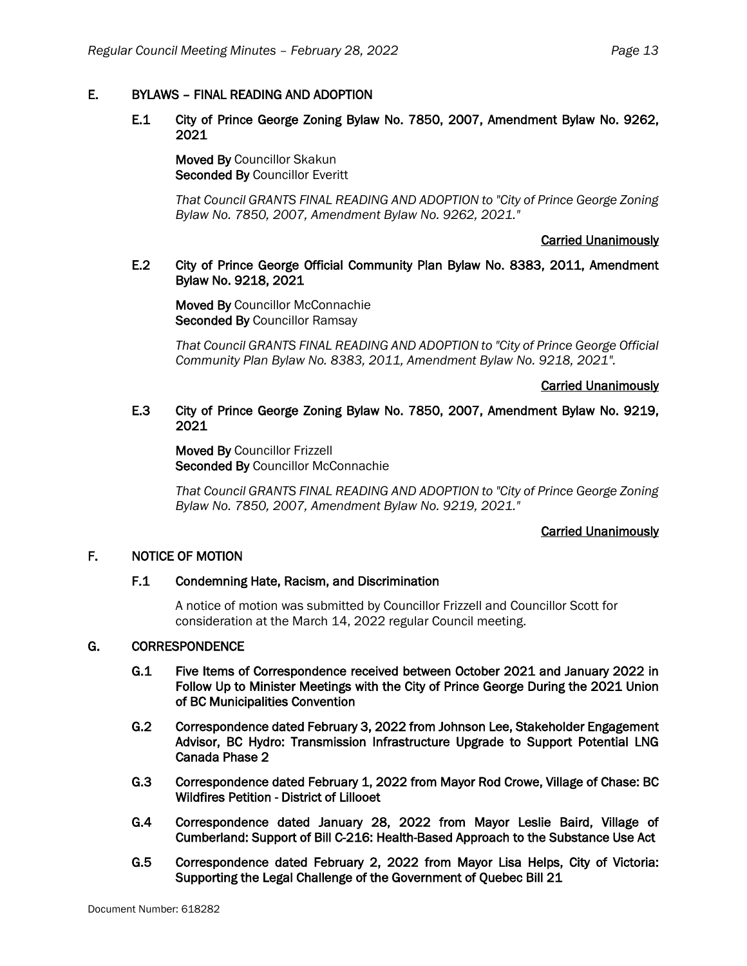# E. BYLAWS – FINAL READING AND ADOPTION

# E.1 City of Prince George Zoning Bylaw No. 7850, 2007, Amendment Bylaw No. 9262, 2021

Moved By Councillor Skakun Seconded By Councillor Everitt

*That Council GRANTS FINAL READING AND ADOPTION to "City of Prince George Zoning Bylaw No. 7850, 2007, Amendment Bylaw No. 9262, 2021."*

## Carried Unanimously

# E.2 City of Prince George Official Community Plan Bylaw No. 8383, 2011, Amendment Bylaw No. 9218, 2021

Moved By Councillor McConnachie Seconded By Councillor Ramsay

*That Council GRANTS FINAL READING AND ADOPTION to "City of Prince George Official Community Plan Bylaw No. 8383, 2011, Amendment Bylaw No. 9218, 2021".*

# Carried Unanimously

# E.3 City of Prince George Zoning Bylaw No. 7850, 2007, Amendment Bylaw No. 9219, 2021

Moved By Councillor Frizzell Seconded By Councillor McConnachie

*That Council GRANTS FINAL READING AND ADOPTION to "City of Prince George Zoning Bylaw No. 7850, 2007, Amendment Bylaw No. 9219, 2021."*

# Carried Unanimously

# F. NOTICE OF MOTION

### F.1 Condemning Hate, Racism, and Discrimination

A notice of motion was submitted by Councillor Frizzell and Councillor Scott for consideration at the March 14, 2022 regular Council meeting.

## G. CORRESPONDENCE

- G.1 Five Items of Correspondence received between October 2021 and January 2022 in Follow Up to Minister Meetings with the City of Prince George During the 2021 Union of BC Municipalities Convention
- G.2 Correspondence dated February 3, 2022 from Johnson Lee, Stakeholder Engagement Advisor, BC Hydro: Transmission Infrastructure Upgrade to Support Potential LNG Canada Phase 2
- G.3 Correspondence dated February 1, 2022 from Mayor Rod Crowe, Village of Chase: BC Wildfires Petition - District of Lillooet
- G.4 Correspondence dated January 28, 2022 from Mayor Leslie Baird, Village of Cumberland: Support of Bill C-216: Health-Based Approach to the Substance Use Act
- G.5 Correspondence dated February 2, 2022 from Mayor Lisa Helps, City of Victoria: Supporting the Legal Challenge of the Government of Quebec Bill 21